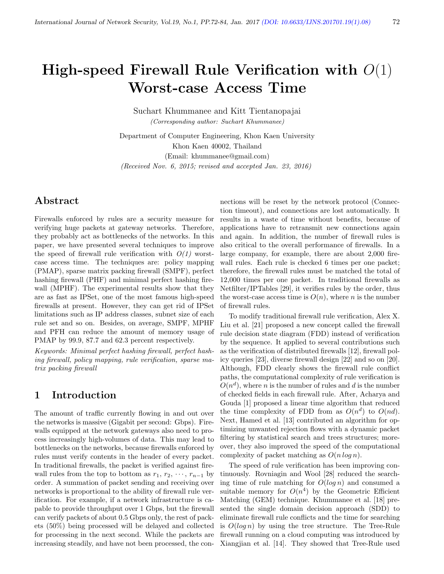# High-speed Firewall Rule Verification with  $O(1)$ Worst-case Access Time

Suchart Khummanee and Kitt Tientanopajai (Corresponding author: Suchart Khummanee)

Department of Computer Engineering, Khon Kaen University Khon Kaen 40002, Thailand (Email: khummanee@gmail.com) (Received Nov. 6, 2015; revised and accepted Jan. 23, 2016)

# Abstract

Firewalls enforced by rules are a security measure for verifying huge packets at gateway networks. Therefore, they probably act as bottlenecks of the networks. In this paper, we have presented several techniques to improve the speed of firewall rule verification with  $O(1)$  worstcase access time. The techniques are: policy mapping (PMAP), sparse matrix packing firewall (SMPF), perfect hashing firewall (PHF) and minimal perfect hashing firewall (MPHF). The experimental results show that they are as fast as IPSet, one of the most famous high-speed firewalls at present. However, they can get rid of IPSet limitations such as IP address classes, subnet size of each rule set and so on. Besides, on average, SMPF, MPHF and PFH can reduce the amount of memory usage of PMAP by 99.9, 87.7 and 62.3 percent respectively.

Keywords: Minimal perfect hashing firewall, perfect hashing firewall, policy mapping, rule verification, sparse matrix packing firewall

# 1 Introduction

The amount of traffic currently flowing in and out over the networks is massive (Gigabit per second: Gbps). Firewalls equipped at the network gateways also need to process increasingly high-volumes of data. This may lead to bottlenecks on the networks, because firewalls enforced by rules must verify contents in the header of every packet. In traditional firewalls, the packet is verified against firewall rules from the top to bottom as  $r_1, r_2, \cdots, r_{n-1}$  by order. A summation of packet sending and receiving over networks is proportional to the ability of firewall rule verification. For example, if a network infrastructure is capable to provide throughput over 1 Gbps, but the firewall can verify packets of about 0.5 Gbps only, the rest of packets (50%) being processed will be delayed and collected for processing in the next second. While the packets are increasing steadily, and have not been processed, the con-

nections will be reset by the network protocol (Connection timeout), and connections are lost automatically. It results in a waste of time without benefits, because of applications have to retransmit new connections again and again. In addition, the number of firewall rules is also critical to the overall performance of firewalls. In a large company, for example, there are about 2,000 firewall rules. Each rule is checked 6 times per one packet; therefore, the firewall rules must be matched the total of 12,000 times per one packet. In traditional firewalls as Netfilter/IPTables [29], it verifies rules by the order, thus the worst-case access time is  $O(n)$ , where n is the number of firewall rules.

To modify traditional firewall rule verification, Alex X. Liu et al. [21] proposed a new concept called the firewall rule decision state diagram (FDD) instead of verification by the sequence. It applied to several contributions such as the verification of distributed firewalls [12], firewall policy queries [23], diverse firewall design [22] and so on [20]. Although, FDD clearly shows the firewall rule conflict paths, the computational complexity of rule verification is  $O(n^d)$ , where *n* is the number of rules and *d* is the number of checked fields in each firewall rule. After, Acharya and Gouda [1] proposed a linear time algorithm that reduced the time complexity of FDD from as  $O(n^d)$  to  $O(nd)$ . Next, Hamed et al. [13] contributed an algorithm for optimizing unwanted rejection flows with a dynamic packet filtering by statistical search and trees structures; moreover, they also improved the speed of the computational complexity of packet matching as  $O(n \log n)$ .

The speed of rule verification has been improving continuously. Rovniagin and Wool [28] reduced the searching time of rule matching for  $O(\log n)$  and consumed a suitable memory for  $O(n^4)$  by the Geometric Efficient Matching (GEM) technique. Khummanee et al. [18] presented the single domain decision approach (SDD) to eliminate firewall rule conflicts and the time for searching is  $O(log n)$  by using the tree structure. The Tree-Rule firewall running on a cloud computing was introduced by Xiangjian et al. [14]. They showed that Tree-Rule used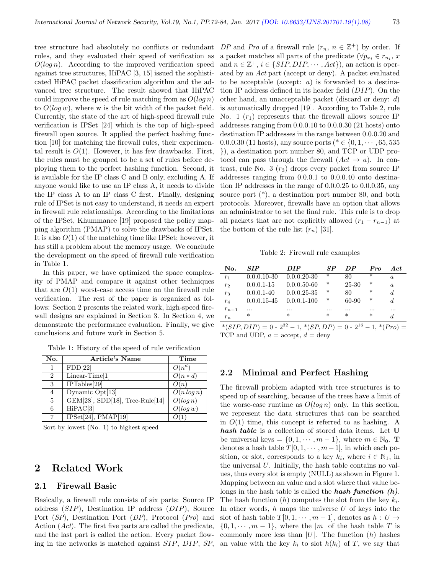tree structure had absolutely no conflicts or redundant rules, and they evaluated their speed of verification as  $O(log n)$ . According to the improved verification speed against tree structures, HiPAC [3, 15] issued the sophisticated HiPAC packet classification algorithm and the advanced tree structure. The result showed that HiPAC could improve the speed of rule matching from as  $O(log n)$ to  $O(\log w)$ , where w is the bit width of the packet field. Currently, the state of the art of high-speed firewall rule verification is IPSet [24] which is the top of high-speed firewall open source. It applied the perfect hashing function [10] for matching the firewall rules, their experimental result is  $O(1)$ . However, it has few drawbacks. First, the rules must be grouped to be a set of rules before deploying them to the perfect hashing function. Second, it is available for the IP class C and B only, excluding A. If anyone would like to use an IP class A, it needs to divide the IP class A to an IP class C first. Finally, designing rule of IPSet is not easy to understand, it needs an expert in firewall rule relationships. According to the limitations of the IPSet, Khummanee [19] proposed the policy mapping algorithm (PMAP) to solve the drawbacks of IPSet. It is also  $O(1)$  of the matching time like IPSet; however, it has still a problem about the memory usage. We conclude the development on the speed of firewall rule verification in Table 1.

In this paper, we have optimized the space complexity of PMAP and compare it against other techniques that are  $O(1)$  worst-case access time on the firewall rule verification. The rest of the paper is organized as follows: Section 2 presents the related work, high-speed firewall designs are explained in Section 3. In Section 4, we demonstrate the performance evaluation. Finally, we give conclusions and future work in Section 5.

| No.                         | <b>Article's Name</b>              | Time                     |
|-----------------------------|------------------------------------|--------------------------|
| 1                           | FDD[22]                            | $O(n^d)$                 |
| $\mathcal{D}_{\mathcal{L}}$ | $\overline{\text{Linear-Time}}[1]$ | $O(n*d)$                 |
| 3                           | $\overline{\text{IPTables}[29]}$   | O(n)                     |
| 4                           | Dynamic Opt[13]                    | $\overline{O(n \log n)}$ |
| 5                           | $GEM[28]$ , SDD[18], Tree-Rule[14] | O(log n)                 |
| 6                           | $\overline{HiPAC}[3]$              | O(log w)                 |
| 7                           | IPSet[24], PMAP[19]                |                          |

Table 1: History of the speed of rule verification

Sort by lowest (No. 1) to highest speed

# 2 Related Work

## 2.1 Firewall Basic

Basically, a firewall rule consists of six parts: Source IP address (SIP), Destination IP address (DIP), Source Port (SP), Destination Port (DP), Protocol (Pro) and Action (Act). The first five parts are called the predicate, and the last part is called the action. Every packet flowing in the networks is matched against SIP, DIP, SP,

DP and Pro of a firewall rule  $(r_n, n \in \mathbb{Z}^+)$  by order. If a packet matches all parts of the predicate ( $\forall p_{x_i} \in r_{n_i}$ , x and  $n \in \mathbb{Z}^+, i \in \{SIP, DIP, \cdots, Act\}$ , an action is operated by an Act part (accept or deny). A packet evaluated to be acceptable (accept:  $a$ ) is forwarded to a destination IP address defined in its header field (DIP). On the other hand, an unacceptable packet (discard or deny: d) is automatically dropped [19]. According to Table 2, rule No. 1  $(r_1)$  represents that the firewall allows source IP addresses ranging from 0.0.0.10 to 0.0.0.30 (21 hosts) onto destination IP addresses in the range between 0.0.0.20 and 0.0.0.30 (11 hosts), any source ports ( $* \in \{0, 1, \dots, 65, 535\}$ }), a destination port number 80, and TCP or UDP protocol can pass through the firewall  $(Act \rightarrow a)$ . In contrast, rule No. 3  $(r_3)$  drops every packet from source IP addresses ranging from 0.0.0.1 to 0.0.0.40 onto destination IP addresses in the range of 0.0.0.25 to 0.0.0.35, any source port (\*), a destination port number 80, and both protocols. Moreover, firewalls have an option that allows an administrator to set the final rule. This rule is to drop all packets that are not explicitly allowed  $(r_1 - r_{n-1})$  at the bottom of the rule list  $(r_n)$  [31].

Table 2: Firewall rule examples

| No.            | SIP             | <b>DIP</b>      | SP.      | DP       | Pro      | Act.     |
|----------------|-----------------|-----------------|----------|----------|----------|----------|
| $r_1$          | $0.0.0.10 - 30$ | $0.0.0.20 - 30$ | $\ast$   | 80       | $\ast$   | $\alpha$ |
| r <sub>2</sub> | $0.0.0.1 - 15$  | $0.0.0.50 - 60$ | *        | 25-30    | ∗        | $\alpha$ |
| $r_3$          | $0.0.0.1 - 40$  | $0.0.0.25 - 35$ | *        | 80       | ∗        | d        |
| $r_4$          | $0.0.0.15 - 45$ | $0.0.0.1 - 100$ | ∗        | 60-90    | ∗        | d.       |
| $r_{n-1}$      |                 | $\cdots$        | $\cdots$ | $\cdots$ | $\cdots$ |          |
| $r_n$          | *               | $\ast$          | $\ast$   | *        | $\ast$   | d        |

 $*(SIP, DIP) = 0 - 2^{32} - 1, * (SP, DP) = 0 - 2^{16} - 1, * (Pro) =$ TCP and UDP,  $a = accept, d = deny$ 

#### 2.2 Minimal and Perfect Hashing

The firewall problem adapted with tree structures is to speed up of searching, because of the trees have a limit of the worse-case runtime as  $O(\log n)$  only. In this section, we represent the data structures that can be searched in  $O(1)$  time, this concept is referred to as hashing. A hash table is a collection of stored data items. Let U be universal keys =  $\{0, 1, \dots, m-1\}$ , where  $m \in \mathbb{N}_0$ . **T** denotes a hash table  $T[0, 1, \dots, m-1]$ , in which each position, or slot, corresponds to a key  $k_i$ , where  $i \in \mathbb{N}_1$ , in the universal  $U$ . Initially, the hash table contains no values, thus every slot is empty (NULL) as shown in Figure 1. Mapping between an value and a slot where that value belongs in the hash table is called the **hash function**  $(h)$ . The hash function  $(h)$  computes the slot from the key  $k_i$ . In other words,  $h$  maps the universe  $U$  of keys into the slot of hash table  $T[0, 1, \dots, m-1]$ , denotes as  $h: U \rightarrow$  $\{0, 1, \dots, m-1\}$ , where the |m| of the hash table T is commonly more less than  $|U|$ . The function  $(h)$  hashes an value with the key  $k_i$  to slot  $h(k_i)$  of T, we say that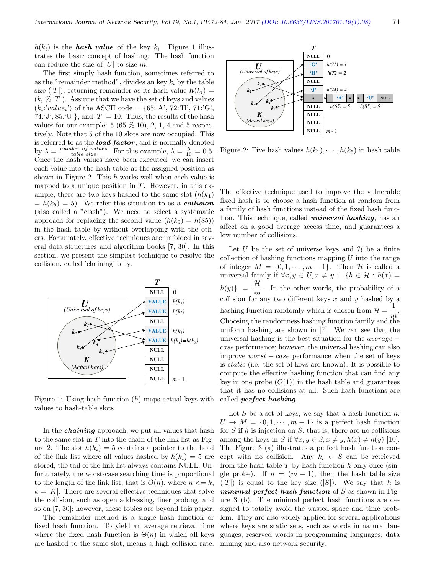$h(k_i)$  is the **hash value** of the key  $k_i$ . Figure 1 illustrates the basic concept of hashing. The hash function can reduce the size of  $|U|$  to size m.

The first simply hash function, sometimes referred to as the "remainder method", divides an key  $k_i$  by the table size  $(|T|)$ , returning remainder as its hash value  $h(k_i)$  =  $(k_i \mathcal{K} |T|)$ . Assume that we have the set of keys and values  $(k_i: 'value_i')$  of the ASCII code = {65:'A', 72:'H', 71:'G', 74:'J', 85:'U'}, and  $|T| = 10$ . Thus, the results of the hash values for our example:  $5(65\%10)$ ,  $2, 1, 4$  and  $5$  respectively. Note that 5 of the 10 slots are now occupied. This is referred to as the **load factor**, and is normally denoted by  $\lambda = \frac{number\_of\_values}{table\_size}$ . For this example,  $\lambda = \frac{5}{10} = 0.5$ . Once the hash values have been executed, we can insert each value into the hash table at the assigned position as shown in Figure 2. This h works well when each value is mapped to a unique position in  $T$ . However, in this example, there are two keys hashed to the same slot  $(h(k_1))$  $= h(k_5) = 5$ . We refer this situation to as a **collision** (also called a "clash"). We need to select a systematic approach for replacing the second value  $(h(k_5) = h(85))$ in the hash table by without overlapping with the others. Fortunately, effective techniques are unfolded in several data structures and algorithm books [7, 30]. In this section, we present the simplest technique to resolve the collision, called 'chaining' only.



Figure 1: Using hash function  $(h)$  maps actual keys with values to hash-table slots

In the *chaining* approach, we put all values that hash to the same slot in  $T$  into the chain of the link list as Figure 2. The slot  $h(k<sub>i</sub>) = 5$  contains a pointer to the head of the link list where all values hashed by  $h(k_i) = 5$  are stored, the tail of the link list always contains NULL. Unfortunately, the worst-case searching time is proportional to the length of the link list, that is  $O(n)$ , where  $n \leq k$ ,  $k = |K|$ . There are several effective techniques that solve the collision, such as open addressing, liner probing, and so on [7, 30]; however, these topics are beyond this paper.

The remainder method is a single hash function or fixed hash function. To yield an average retrieval time where the fixed hash function is  $\Theta(n)$  in which all keys are hashed to the same slot, means a high collision rate.



Figure 2: Five hash values  $h(k_1), \cdots, h(k_5)$  in hash table

The effective technique used to improve the vulnerable fixed hash is to choose a hash function at random from a family of hash functions instead of the fixed hash function. This technique, called *universal hashing*, has an affect on a good average access time, and guarantees a low number of collisions.

Let U be the set of universe keys and  $H$  be a finite collection of hashing functions mapping  $U$  into the range of integer  $M = \{0, 1, \dots, m-1\}$ . Then H is called a universal family if  $\forall x, y \in U, x \neq y : |\{h \in \mathcal{H} : h(x) =$  $|h(y)\rangle| = \frac{|{\cal H}|}{\cal H}$  $\frac{n}{m}$ . In the other words, the probability of a collision for any two different keys  $x$  and  $y$  hashed by a hashing function randomly which is chosen from  $\mathcal{H} = \frac{1}{n}$  $\frac{1}{m}$ . Choosing the randomness hashing function family and the uniform hashing are shown in [7]. We can see that the universal hashing is the best situation for the  $average$ case performance; however, the universal hashing can also improve  $worst - case$  performance when the set of keys is static (i.e. the set of keys are known). It is possible to compute the effective hashing function that can find any key in one probe  $(O(1))$  in the hash table and guarantees that it has no collisions at all. Such hash functions are called perfect hashing.

Let  $S$  be a set of keys, we say that a hash function  $h$ :  $U \rightarrow M = \{0, 1, \dots, m-1\}$  is a perfect hash function for  $S$  if  $h$  is injection on  $S$ , that is, there are no collisions among the keys in S if  $\forall x, y \in S, x \neq y, h(x) \neq h(y)$  [10]. The Figure 3 (a) illustrates a perfect hash function concept with no collision. Any  $k_i \in S$  can be retrieved from the hash table  $T$  by hash function  $h$  only once (single probe). If  $n = (m - 1)$ , then the hash table size  $(|T|)$  is equal to the key size  $(|S|)$ . We say that h is *minimal perfect hash function* of  $S$  as shown in Figure 3 (b). The minimal perfect hash functions are designed to totally avoid the wasted space and time problem. They are also widely applied for several applications where keys are static sets, such as words in natural languages, reserved words in programming languages, data mining and also network security.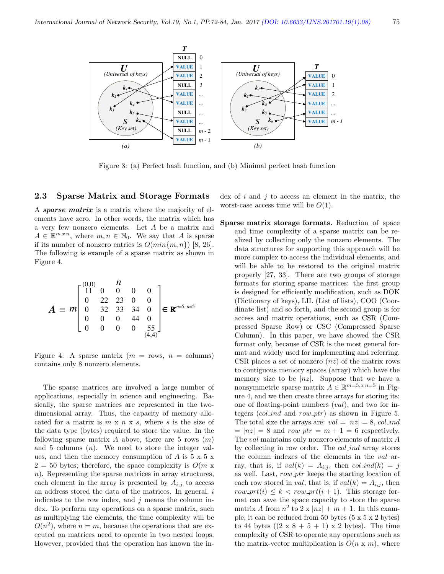

Figure 3: (a) Perfect hash function, and (b) Minimal perfect hash function

#### 2.3 Sparse Matrix and Storage Formats

A sparse matrix is a matrix where the majority of elements have zero. In other words, the matrix which has a very few nonzero elements. Let A be a matrix and  $A \in \mathbb{R}^{m \times n}$ , where  $m, n \in \mathbb{N}_0$ . We say that A is sparse if its number of nonzero entries is  $O(min\{m, n\})$  [8, 26]. The following is example of a sparse matrix as shown in Figure 4.

$$
A = m \begin{bmatrix} (0,0) & n \\ 11 & 0 & 0 & 0 \\ 0 & 22 & 23 & 0 & 0 \\ 0 & 32 & 33 & 34 & 0 \\ 0 & 0 & 0 & 44 & 0 \\ 0 & 0 & 0 & 0 & 55 \end{bmatrix} \in \mathbf{R}^{m=5, n=5}
$$

Figure 4: A sparse matrix  $(m = \text{rows}, n = \text{columns})$ contains only 8 nonzero elements.

The sparse matrices are involved a large number of applications, especially in science and engineering. Basically, the sparse matrices are represented in the twodimensional array. Thus, the capacity of memory allocated for a matrix is  $m \times n \times s$ , where s is the size of the data type (bytes) required to store the value. In the following sparse matrix A above, there are 5 rows  $(m)$ and 5 columns  $(n)$ . We need to store the integer values, and then the memory consumption of  $A$  is  $5 \times 5 \times$  $2 = 50$  bytes; therefore, the space complexity is  $O(m \times$ n). Representing the sparse matrices in array structures, each element in the array is presented by  $A_{i,j}$  to access an address stored the data of the matrices. In general, i indicates to the row index, and  $j$  means the column index. To perform any operations on a sparse matrix, such as multiplying the elements, the time complexity will be  $O(n^2)$ , where  $n = m$ , because the operations that are executed on matrices need to operate in two nested loops. However, provided that the operation has known the index of  $i$  and  $j$  to access an element in the matrix, the worst-case access time will be  $O(1)$ .

Sparse matrix storage formats. Reduction of space and time complexity of a sparse matrix can be realized by collecting only the nonzero elements. The data structures for supporting this approach will be more complex to access the individual elements, and will be able to be restored to the original matrix properly [27, 33]. There are two groups of storage formats for storing sparse matrices: the first group is designed for efficiently modification, such as DOK (Dictionary of keys), LIL (List of lists), COO (Coordinate list) and so forth, and the second group is for access and matrix operations, such as CSR (Compressed Sparse Row) or CSC (Compressed Sparse Column). In this paper, we have showed the CSR format only, because of CSR is the most general format and widely used for implementing and referring. CSR places a set of nonzero  $(nz)$  of the matrix rows to contiguous memory spaces (array) which have the memory size to be  $|nz|$ . Suppose that we have a nonsymmetric sparse matrix  $A \in \mathbb{R}^{m=5, x \ n=5}$  in Figure 4, and we then create three arrays for storing its: one of floating-point numbers (val), and two for integers  $\text{(col-ind and row\_ptr)}$  as shown in Figure 5. The total size the arrays are:  $val = |nz| = 8$ , col ind  $= |nz| = 8$  and row  $ptr = m + 1 = 6$  respectively. The val maintains only nonzero elements of matrix A by collecting in row order. The col ind array stores the column indexes of the elements in the val array, that is, if  $val(k) = A_{i,j}$ , then  $col\_ind(k) = j$ as well. Last, row  $ptr$  keeps the starting location of each row stored in *val*, that is, if  $val(k) = A_{i,j}$ , then  $row\_prt(i) \leq k < row\_prt(i + 1)$ . This storage format can save the space capacity to store the sparse matrix A from  $n^2$  to  $2 \times |nz| + m + 1$ . In this example, it can be reduced from 50 bytes (5 x 5 x 2 bytes) to 44 bytes  $((2 \times 8 + 5 + 1) \times 2)$  bytes). The time complexity of CSR to operate any operations such as the matrix-vector multiplication is  $O(n \times m)$ , where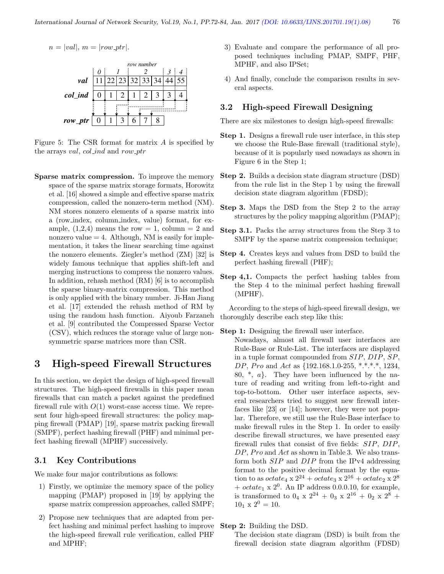

Figure 5: The CSR format for matrix  $A$  is specified by the arrays val, col ind and row ptr

Sparse matrix compression. To improve the memory space of the sparse matrix storage formats, Horowitz et al. [16] showed a simple and effective sparse matrix compression, called the nonzero-term method (NM). NM stores nonzero elements of a sparse matrix into a (row index, column index, value) format, for example,  $(1,2,4)$  means the row = 1, column = 2 and nonzero value  $= 4$ . Although, NM is easily for implementation, it takes the linear searching time against the nonzero elements. Ziegler's method (ZM) [32] is widely famous technique that applies shift-left and merging instructions to compress the nonzero values. In addition, rehash method (RM) [6] is to accomplish the sparse binary-matrix compression. This method is only applied with the binary number. Ji-Han Jiang et al. [17] extended the rehash method of RM by using the random hash function. Aiyoub Farzaneh et al. [9] contributed the Compressed Sparse Vector (CSV), which reduces the storage value of large nonsymmetric sparse matrices more than CSR.

# 3 High-speed Firewall Structures

In this section, we depict the design of high-speed firewall structures. The high-speed firewalls in this paper mean firewalls that can match a packet against the predefined firewall rule with  $O(1)$  worst-case access time. We represent four high-speed firewall structures: the policy mapping firewall (PMAP) [19], sparse matrix packing firewall (SMPF), perfect hashing firewall (PHF) and minimal perfect hashing firewall (MPHF) successively.

#### 3.1 Key Contributions

We make four major contributions as follows:

- 1) Firstly, we optimize the memory space of the policy mapping (PMAP) proposed in [19] by applying the sparse matrix compression approaches, called SMPF;
- 2) Propose new techniques that are adapted from perfect hashing and minimal perfect hashing to improve the high-speed firewall rule verification, called PHF and MPHF;
- 3) Evaluate and compare the performance of all proposed techniques including PMAP, SMPF, PHF, MPHF, and also IPSet;
- 4) And finally, conclude the comparison results in several aspects.

## 3.2 High-speed Firewall Designing

There are six milestones to design high-speed firewalls:

- Step 1. Designs a firewall rule user interface, in this step we choose the Rule-Base firewall (traditional style), because of it is popularly used nowadays as shown in Figure 6 in the Step 1;
- Step 2. Builds a decision state diagram structure (DSD) from the rule list in the Step 1 by using the firewall decision state diagram algorithm (FDSD);
- Step 3. Maps the DSD from the Step 2 to the array structures by the policy mapping algorithm (PMAP);
- Step 3.1. Packs the array structures from the Step 3 to SMPF by the sparse matrix compression technique;
- Step 4. Creates keys and values from DSD to build the perfect hashing firewall (PHF);
- Step 4,1. Compacts the perfect hashing tables from the Step 4 to the minimal perfect hashing firewall (MPHF).

According to the steps of high-speed firewall design, we thoroughly describe each step like this:

Step 1: Designing the firewall user interface.

Nowadays, almost all firewall user interfaces are Rule-Base or Rule-List. The interfaces are displayed in a tuple format compounded from SIP, DIP, SP, DP, Pro and Act as  $\{192.168.1.0-255, **.*.*, 1234,$ 80,  $\ast$ ,  $a$ . They have been influenced by the nature of reading and writing from left-to-right and top-to-bottom. Other user interface aspects, several researchers tried to suggest new firewall interfaces like [23] or [14]; however, they were not popular. Therefore, we still use the Rule-Base interface to make firewall rules in the Step 1. In order to easily describe firewall structures, we have presented easy firewall rules that consist of five fields: SIP, DIP,  $DP, Pro$  and  $Act$  as shown in Table 3. We also transform both SIP and DIP from the IPv4 addressing format to the positive decimal format by the equation to as  $octate_4 \times 2^{24} + octate_3 \times 2^{16} + octate_2 \times 2^8$ +  $octate_1 \times 2^0$ . An IP address 0.0.0.10, for example, is transformed to  $0_4 \times 2^{24} + 0_3 \times 2^{16} + 0_2 \times 2^8 +$  $10_1 \times 2^0 = 10$ .

#### Step 2: Building the DSD.

The decision state diagram (DSD) is built from the firewall decision state diagram algorithm (FDSD)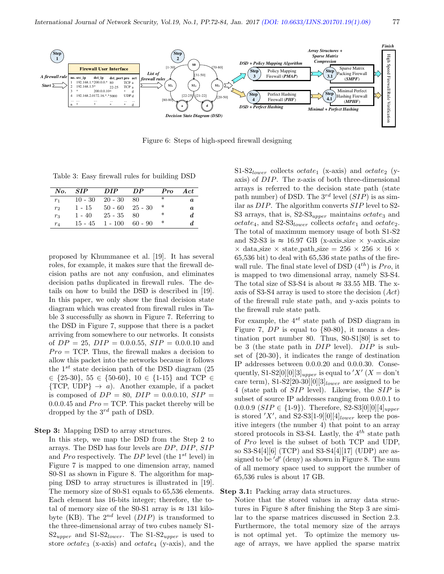

Figure 6: Steps of high-speed firewall designing

Table 3: Easy firewall rules for building DSD

| No.     | <b>SIP</b> | DIP               | DP.                 | Pro    | Act.             |
|---------|------------|-------------------|---------------------|--------|------------------|
| $r_{1}$ | $10 - 30$  | $20 - 30$         | -80                 | $\ast$ | $\boldsymbol{a}$ |
| $r_2$   | $1 - 15$   |                   | $50 - 60$ $25 - 30$ | ∗      | a.               |
| $r_3$   | $1 - 40$   | $25 - 35$         | -80                 | ∗      | d.               |
| $r_4$   |            | $15 - 45$ 1 - 100 | 60 - 90             | ∗      |                  |

proposed by Khummanee et al. [19]. It has several roles, for example, it makes sure that the firewall decision paths are not any confusion, and eliminates decision paths duplicated in firewall rules. The details on how to build the DSD is described in [19]. In this paper, we only show the final decision state diagram which was created from firewall rules in Table 3 successfully as shown in Figure 7. Referring to the DSD in Figure 7, suppose that there is a packet arriving from somewhere to our networks. It consists of  $DP = 25$ ,  $DIP = 0.0.0.55$ ,  $SIP = 0.0.0.10$  and  $Pro = TCP$ . Thus, the firewall makes a decision to allow this packet into the networks because it follows the  $1^{st}$  state decision path of the DSD diagram (25)  $\in$  {25-30}, 55  $\in$  {50-60}, 10  $\in$  {1-15} and TCP  $\in$  $\{TCP, UDP\} \rightarrow a$ . Another example, if a packet is composed of  $DP = 80$ ,  $DIP = 0.0.010$ ,  $SIP =$  $0.0.0.45$  and  $Pro = TCP$ . This packet thereby will be dropped by the  $3^{rd}$  path of DSD.

Step 3: Mapping DSD to array structures.

In this step, we map the DSD from the Step 2 to arrays. The DSD has four levels are DP, DIP, SIP and Pro respectively. The DP level (the  $1^{st}$  level) in Figure 7 is mapped to one dimension array, named S0-S1 as shown in Figure 8. The algorithm for mapping DSD to array structures is illustrated in [19]. The memory size of S0-S1 equals to 65,536 elements. Each element has 16-bits integer; therefore, the total of memory size of the S0-S1 array is  $\approx 131$  kilobyte (KB). The  $2^{nd}$  level  $(DIP)$  is transformed to the three-dimensional array of two cubes namely S1-  $S2_{upper}$  and  $S1-S2_{lower}$ . The  $S1-S2_{upper}$  is used to store *octate<sub>3</sub>* (x-axis) and *octate<sub>4</sub>* (y-axis), and the S1-S2<sub>lower</sub> collects *octate*<sub>1</sub> (x-axis) and *octate*<sub>2</sub> (yaxis) of DIP. The z-axis of both three-dimensional arrays is referred to the decision state path (state path number) of DSD. The  $3^{rd}$  level  $(SIP)$  is as similar as DIP. The algorithm converts SIP level to S2- S3 arrays, that is,  $S2-S3_{upper}$  maintains *octate*<sub>3</sub> and  $octate_4$ , and S2-S3<sub>lower</sub> collects octate<sub>1</sub> and octate<sub>2</sub>. The total of maximum memory usage of both S1-S2 and S2-S3 is  $\approx 16.97$  GB (x-axis size  $\times$  y-axis size  $\times$  data size  $\times$  state path size = 256  $\times$  256  $\times$  16  $\times$ 65,536 bit) to deal with 65,536 state paths of the firewall rule. The final state level of DSD  $(4^{th})$  is Pro, it is mapped to two dimensional array, namely S3-S4. The total size of S3-S4 is about  $\approx 33.55$  MB. The xaxis of S3-S4 array is used to store the decision (Act) of the firewall rule state path, and y-axis points to the firewall rule state path.

For example, the  $4^{st}$  state path of DSD diagram in Figure 7,  $DP$  is equal to  $\{80-80\}$ , it means a destination port number 80. Thus, S0-S1[80] is set to be 3 (the state path in  $DIP$  level).  $DIP$  is subset of {20-30}, it indicates the range of destination IP addresses between 0.0.0.20 and 0.0.0.30. Consequently, S1-S2[0][0][3]<sub>upper</sub> is equal to 'X' (X = don't care term), S1-S2[20-30][0][3]<sub>lower</sub> are assigned to be 4 (state path of SIP level). Likewise, the SIP is subset of source IP addresses ranging from 0.0.0.1 to 0.0.0.9 ( $SIP \in \{1-9\}$ ). Therefore, S2-S3[0][0][4]<sub>upper</sub> is stored 'X', and S2-S3[1-9][0][4]<sub>lower</sub> keep the positive integers (the number 4) that point to an array stored protocols in S3-S4. Lastly, the  $4^{th}$  state path of Pro level is the subset of both TCP and UDP, so S3-S4[4][6] (TCP) and S3-S4[4][17] (UDP) are assigned to be  $'d'$  (deny) as shown in Figure 8. The sum of all memory space used to support the number of 65,536 rules is about 17 GB.

#### Step 3.1: Packing array data structures.

Notice that the stored values in array data structures in Figure 8 after finishing the Step 3 are similar to the sparse matrices discussed in Section 2.3. Furthermore, the total memory size of the arrays is not optimal yet. To optimize the memory usage of arrays, we have applied the sparse matrix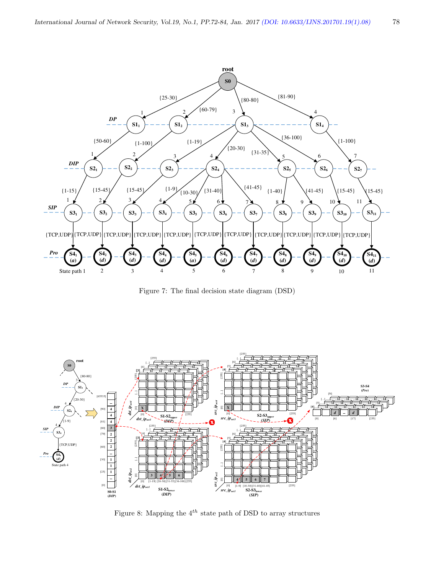

Figure 7: The final decision state diagram (DSD)



Figure 8: Mapping the  $4^{th}$  state path of DSD to array structures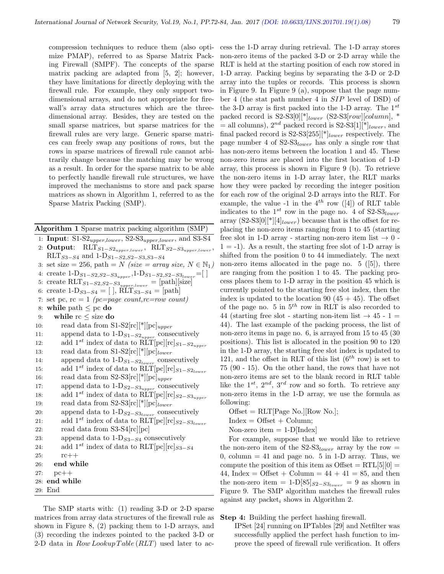compression techniques to reduce them (also optimize PMAP), referred to as Sparse Matrix Packing Firewall (SMPF). The concepts of the sparse matrix packing are adapted from [5, 2]; however, they have limitations for directly deploying with the firewall rule. For example, they only support twodimensional arrays, and do not appropriate for firewall's array data structures which are the threedimensional array. Besides, they are tested on the small sparse matrices, but sparse matrices for the firewall rules are very large. Generic sparse matrices can freely swap any positions of rows, but the rows in sparse matrices of firewall rule cannot arbitrarily change because the matching may be wrong as a result. In order for the sparse matrix to be able to perfectly handle firewall rule structures, we have improved the mechanisms to store and pack sparse matrices as shown in Algorithm 1, referred to as the Sparse Matrix Packing (SMP).

Algorithm 1 Sparse matrix packing algorithm (SMP)

1: Input:  $S1-S2_{upper,lower}$ ,  $S2-S3_{upper,lower}$ , and  $S3-S4$ 2: Output:  $\text{RLT}_{S1-S2_{upper, lower}}$ ,  $\text{RLT}_{S2-S3_{upper, lower}}$  $RLT_{S3-S4}$  and 1-D<sub>S1−S2,S2−S3,S3−S4</sub> 3: set size = 256, path = N (size = array size,  $N \in \mathbb{N}_1$ ) 4: create  $1-D_{S1-S2,S2-S3_{upper}}$ ,  $1-D_{S1-S2,S2-S3_{lower}}=[$ ] 5: create RLT<sub>S1</sub>-S<sub>2</sub>,S<sub>2</sub>-S<sub>3upper,lower</sub> = [path][size] 6: create  $1-D_{S3-S4} = [$ ,  $R\hat{\text{LT}}_{S3-S4} = [path]$ 7: set pc,  $rc = 1$  (pc=page count, rc=row count) 8: while path  $\leq$  pc do 9: while rc ≤ size do 10: read data from  $S1-S2[rc][*][pc]_{upper}$ 11: append data to  $1-\mathrm{D}_{S1-S2_{upper}}$  consecutively 12: add 1<sup>st</sup> index of data to RLT[pc][rc]<sub>S1−S2<sub>upper</sub></sub> 13: read data from  $S1-S2[rc][*][pc]_{lower}$ 14: append data to  $1-D_{S1-S2_{lower}}$  consecutively 15: add 1<sup>st</sup> index of data to RLT[pc][rc]<sub>S1−S2lower</sub> 16: read data from  $S2-S3[rc][*][pc]_{upper}$ 17: append data to  $1-\mathrm{D}_{S2-S3_{upper}}$  consecutively 18: add 1<sup>st</sup> index of data to  $\text{RIT}[\text{pc}][\text{rc}]_{S2-S3_{upper}}$ 19: read data from  $S2-S3[rc][*][pc]_{lower}$ 20: append data to  $1-\mathrm{D}_{S2-S3_{lower}}$  consecutively 21: add 1<sup>st</sup> index of data to RLT[pc][rc]<sub>S2−S3<sub>lower</sub></sub> 22: read data from S3-S4[rc][pc] 23: append data to  $1-D_{S3-S4}$  consecutively 24: add 1<sup>st</sup> index of data to RLT[pc][rc]<sub>S3−S4</sub> 25: rc++ 26: end while 27: pc++ 28: end while 29: End

The SMP starts with: (1) reading 3-D or 2-D sparse matrices from array data structures of the firewall rule as shown in Figure 8, (2) packing them to 1-D arrays, and (3) recording the indexes pointed to the packed 3-D or 2-D data in  $Row\,Looking\,Table (RLT)$  used later to access the 1-D array during retrieval. The 1-D array stores non-zero items of the packed 3-D or 2-D array while the RLT is held at the starting position of each row stored in 1-D array. Packing begins by separating the 3-D or 2-D array into the tuples or records. This process is shown in Figure 9. In Figure 9 (a), suppose that the page number 4 (the stat path number 4 in SIP level of DSD) of the 3-D array is first packed into the 1-D array. The  $1^{st}$ packed record is  $S2-S3[0]$ <sup>\*</sup> $|_{lower}$   $(S2-S3[row][column],$  \* = all columns),  $2^{nd}$  packed record is  $S2-S3[1]$ <sup>\*</sup>l<sub>lower</sub>, and final packed record is  $S2-S3[255]$ <sup>\*</sup> $]_{lower}$  respectively. The page number 4 of  $S2-S3_{lower}$  has only a single row that has non-zero items between the location 1 and 45. These non-zero items are placed into the first location of 1-D array, this process is shown in Figure 9 (b). To retrieve the non-zero items in 1-D array later, the RLT marks how they were packed by recording the integer position for each row of the original 2-D arrays into the RLT. For example, the value -1 in the  $4^{th}$  row ([4]) of RLT table indicates to the  $1^{st}$  row in the page no. 4 of  $S2-S3_{lower}$ array  $(S2-S3[0]^{*}||4]_{lower}$  because that is the offset for replacing the non-zero items ranging from 1 to 45 (starting free slot in 1-D array - starting non-zero item list  $\rightarrow 0$  - $1 = -1$ ). As a result, the starting free slot of 1-D array is shifted from the position 0 to 44 immediately. The next non-zero items allocated in the page no.  $5$  ([5]), there are ranging from the position 1 to 45. The packing process places them to 1-D array in the position 45 which is currently pointed to the starting free slot index, then the index is updated to the location 90  $(45 + 45)$ . The offset of the page no. 5 in  $5<sup>th</sup>$  row in RLT is also recorded to 44 (starting free slot - starting non-item list  $\rightarrow$  45 - 1 = 44). The last example of the packing process, the list of non-zero items in page no. 6, is arrayed from 15 to 45 (30 positions). This list is allocated in the position 90 to 120 in the 1-D array, the starting free slot index is updated to 121, and the offset in RLT of this list  $(6^{th}$  row) is set to 75 (90 - 15). On the other hand, the rows that have not non-zero items are set to the blank record in RLT table like the  $1^{st}$ ,  $2^{nd}$ ,  $3^{rd}$  row and so forth. To retrieve any non-zero items in the 1-D array, we use the formula as following:

 $Offset = RLT[Page No.][Row No.];$ 

 $Index = Offset + Column;$ 

Non-zero item  $= 1-D[Index]$ 

For example, suppose that we would like to retrieve the non-zero item of the  $S2-S3_{lower}$  array by the row = 0, column  $= 41$  and page no. 5 in 1-D array. Thus, we compute the position of this item as  $Offset = RTL[5][0] =$ 44, Index = Offset + Column =  $44 + 41 = 85$ , and then the non-zero item = 1-D[85] $_{S2-S3_{lower}} = 9$  as shown in Figure 9. The SMP algorithm matches the firewall rules against any packet<sub>i</sub> shows in Algorithm 2.

#### Step 4: Building the perfect hashing firewall.

IPSet [24] running on IPTables [29] and Netfilter was successfully applied the perfect hash function to improve the speed of firewall rule verification. It offers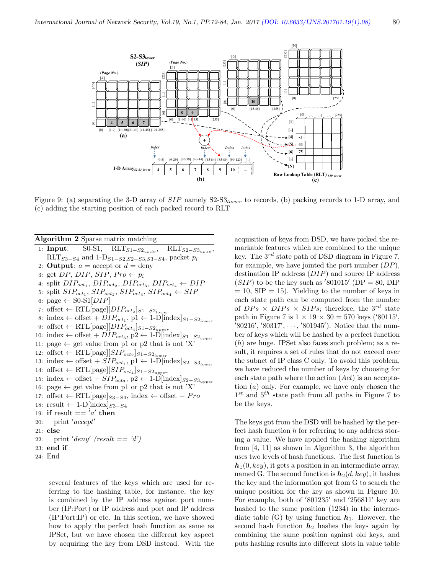

Figure 9: (a) separating the 3-D array of  $SIP$  namely  $S2-S3_{lower}$  to records, (b) packing records to 1-D array, and (c) adding the starting position of each packed record to RLT

| <b>Algorithm 2</b> Sparse matrix matching                                                                               |
|-------------------------------------------------------------------------------------------------------------------------|
| 1: <b>Input:</b> S0-S1, $RLT_{S1-S2_{uv,lo}}, \quad RLT_{S2-S3_{up,lo}},$                                               |
| RLT <sub>S3-S4</sub> and 1-D <sub>S1-S2,S2-S3,S3-S4</sub> , packet $p_i$                                                |
| 2: <b>Output</b> : $a = \text{accept or } d = \text{deny}$                                                              |
| 3: get DP, DIP, SIP, $Pro \leftarrow p_i$                                                                               |
| 4: split $DIP_{oct_1}$ , $DIP_{oct_2}$ , $DIP_{oct_3}$ , $DIP_{oct_4} \leftarrow DIP$                                   |
| 5: split $SIP_{oct_1}$ , $SIP_{oct_2}$ , $SIP_{oct_3}$ , $SIP_{oct_4} \leftarrow SIP$                                   |
| 6: page $\leftarrow$ S0-S1[DIP]                                                                                         |
| 7: offset $\leftarrow \text{RTL}[\text{page}][DIP_{oct_2}]_{S1-S2_{lower}}$                                             |
| $\mbox{s: index} \leftarrow \mbox{offset} + DIP_{oct_1}, \mbox{p1} \leftarrow \mbox{1-D}[\mbox{index}]_{S1-S2_{lower}}$ |
| 9: offset $\leftarrow \text{RTL}[\text{page}][DIP_{oct_4}]_{S1-S2_{upper}}$                                             |
| 10: index $\leftarrow$ offset + $DIP_{oct_3}$ , p2 $\leftarrow$ 1-D[index] $_{S1-S2_{upper}}$                           |
| 11: page $\leftarrow$ get value from p1 or p2 that is not 'X'                                                           |
| 12: offset $\leftarrow \text{RTL}[\text{page}][SIP_{oct_2}]_{S1-S2_{lower}}$                                            |
| 13: index $\leftarrow$ offset + $SIP_{oct_1}$ , p1 $\leftarrow$ 1-D[index] $_{S2-S3_{lower}}$                           |
| 14: offset $\leftarrow \text{RTL}[\text{page}][SIP_{oct_4}]_{S1-S2_{upper}}$                                            |
| 15: index $\leftarrow$ offset + $SIP_{oct_3}$ , p2 $\leftarrow$ 1-D[index] $_{S2-S3_{upper}}$                           |
| 16: page $\leftarrow$ get value from p1 or p2 that is not 'X'                                                           |
| 17: offset $\leftarrow$ RTL[page] <sub>S3-S4</sub> , index $\leftarrow$ offset + Pro                                    |
| 18: result $\leftarrow 1-D$ [index] $_{S3-S4}$                                                                          |
| 19: if result $== 'a'$ then                                                                                             |
| 20: print ' $accept'$                                                                                                   |
| $21:$ else                                                                                                              |
| 22. print 'deny' (result $== 'd'$ )                                                                                     |
| $23:$ end if                                                                                                            |
| 24: End                                                                                                                 |

several features of the keys which are used for referring to the hashing table, for instance, the key is combined by the IP address against port number (IP:Port) or IP address and port and IP address (IP:Port:IP) or etc. In this section, we have showed how to apply the perfect hash function as same as IPSet, but we have chosen the different key aspect by acquiring the key from DSD instead. With the

acquisition of keys from DSD, we have picked the remarkable features which are combined to the unique key. The  $3^{rd}$  state path of DSD diagram in Figure 7, for example, we have jointed the port number  $(DP)$ , destination IP address (DIP) and source IP address  $(SIP)$  to be the key such as '801015' (DP = 80, DIP)  $= 10$ , SIP  $= 15$ ). Yielding to the number of keys in each state path can be computed from the number of  $DPs \times DIPs \times SIPs$ ; therefore, the 3<sup>rd</sup> state path in Figure 7 is  $1 \times 19 \times 30 = 570$  keys ('80115',  $(80216', 80317', \dots, 801945')$ . Notice that the number of keys which will be hashed by a perfect function (h) are huge. IPSet also faces such problem; as a result, it requires a set of rules that do not exceed over the subnet of IP class C only. To avoid this problem, we have reduced the number of keys by choosing for each state path where the action  $(Act)$  is an acceptation (a) only. For example, we have only chosen the  $1^{st}$  and  $5^{th}$  state path from all paths in Figure 7 to be the keys.

The keys got from the DSD will be hashed by the perfect hash function  $h$  for referring to any address storing a value. We have applied the hashing algorithm from [4, 11] as shown in Algorithm 3, the algorithm uses two levels of hash functions. The first function is  $h_1(0, key)$ , it gets a position in an intermediate array, named G. The second function is  $h_2(d, key)$ , it hashes the key and the information got from G to search the unique position for the key as shown in Figure 10. For example, both of  $\langle 801235' \rangle$  and  $\langle 256811' \rangle$  key are hashed to the same position (1234) in the intermediate table (G) by using function  $h_1$ . However, the second hash function  $h_2$  hashes the keys again by combining the same position against old keys, and puts hashing results into different slots in value table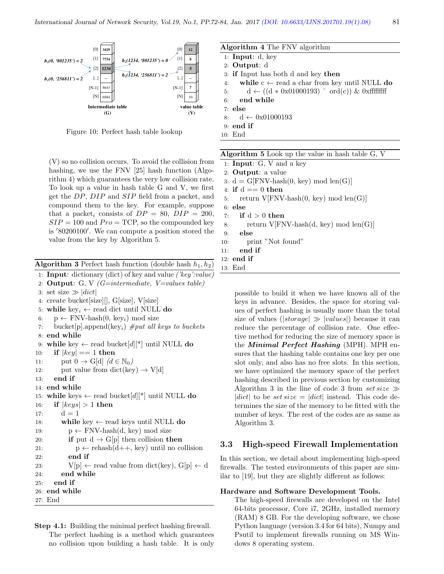

Figure 10: Perfect hash table lookup

(V) so no collision occurs. To avoid the collision from hashing, we use the FNV [25] hash function (Algorithm 4) which guarantees the very low collision rat To look up a value in hash table  $G$  and  $V$ , we first get the  $DP$ ,  $DIP$  and  $SIP$  field from a packet, and compound them to the key. For example, suppose that a packet<sub>i</sub> consists of  $DP = 80$ ,  $DIP = 20$  $SIP = 100$  and  $Pro = TCP$ , so the compounded ke is '80200100'. We can compute a position stored the value from the key by Algorithm 5.

**Algorithm 3** Perfect hash function (double hash  $h_1, h_2$ )

```
1: Input: dictionary (dict) of key and value \ell'key':value)
```
- 2: Output: G, V  $(G=intermediate, V=values table)$
- 3: set size  $\gg |dict|$

4: create bucket[size][], G[size], V[size]

- 5: while key<sub>i</sub>  $\leftarrow$  read dict until NULL do
- 6:  $p \leftarrow FNV\text{-hash}(0, \text{key}_i) \text{ mod size}$
- 7: bucket [p].append(key<sub>i</sub>)  $#put$  all keys to buckets 8: end while

```
9: while key \leftarrow read bucket [d]<sup>[*]</sup> until NULL do
```

```
10: if |key| == 1 then
```

```
11: put 0 \to G[d] (d \in \mathbb{N}_0)
```

```
12: put value from dict(key) \rightarrow V[d]
```
- 13: end if
- 14: end while

```
15: while keys \leftarrow read bucket [d]<sup>[*]</sup> until NULL do
```

```
16: if |keys| > 1 then
```

```
17: d = 1
```

```
18: while key \leftarrow read keys until NULL do
```

```
19: p \leftarrow \text{FNV-hash}(d, \text{key}) \text{ mod size}
```

```
20: if put d \rightarrow G[p] then collision then
21: p \leftarrow \text{rehash}(d++), key) until no collision
```

```
22: end if
```

```
23: V[p] \leftarrow \text{read value from dict(key), G[p]} \leftarrow d
```
24: end while

```
25: end if
```
- 26: end while
- 27: End
- Step 4.1: Building the minimal perfect hashing firewall. The perfect hashing is a method which guarantees no collision upon building a hash table. It is only

| <b>Algorithm 4</b> The FNV algorithm                                                  |
|---------------------------------------------------------------------------------------|
| 1: Input: $d$ , key                                                                   |
| 2: Output: $d$                                                                        |
| 3: if Input has both d and key then                                                   |
| 4. while $c \leftarrow$ read a char from key until NULL do                            |
| $d \leftarrow ((d * 0x01000193) \text{ }^{\circ} \text{ ord}(c)) \& 0x$ fffffff<br>5: |
| $6:$ end while                                                                        |
| $7:$ else                                                                             |
| $8{:} \quad \  \  d\leftarrow 0x01000193$                                             |
| $9:$ end if                                                                           |
| $10:$ End                                                                             |

| m    |     | 1: <b>Input</b> : $G$ , $V$ and a key                         |
|------|-----|---------------------------------------------------------------|
| $-0$ |     | 2: $Output: a value$                                          |
| е.   |     | 3: $d = G[FNV\text{-hash}(0, \text{key}) \mod \text{len}(G)]$ |
| st   |     | 4: if $d == 0$ then                                           |
| ıd   |     | 5: return $V$ [FNV-hash $(0, \text{key})$ mod len $(G)$ ]     |
| se   |     | $6:$ else                                                     |
| 0,   | 7:  | if d > 0 then                                                 |
| эy   | 8:  | return $V$ [FNV-hash $(d, key) \mod len(G)$ ]                 |
| ıe   | 9:  | else                                                          |
|      | 1Λ۰ | print "Not found"                                             |

Algorithm 5 Look up the value in hash table G, V

10: print

```
11: end if
```

```
12: end if
```

```
13: End
```
possible to build it when we have known all of the keys in advance. Besides, the space for storing values of perfect hashing is usually more than the total size of values ( $|storage| \gg |values|)$ ) because it can reduce the percentage of collision rate. One effective method for reducing the size of memory space is the Minimal Perfect Hashing (MPH). MPH ensures that the hashing table contains one key per one slot only, and also has no free slots. In this section, we have optimized the memory space of the perfect hashing described in previous section by customizing Algorithm 3 in the line of code 3 from set size  $\gg$ |dict| to be set size =  $|dict|$  instead. This code determines the size of the memory to be fitted with the number of keys. The rest of the codes are as same as Algorithm 3.

## 3.3 High-speed Firewall Implementation

In this section, we detail about implementing high-speed firewalls. The tested environments of this paper are similar to [19], but they are slightly different as follows:

#### Hardware and Software Development Tools.

The high-speed firewalls are developed on the Intel 64-bits processor, Core i7, 2GHz, installed memory (RAM) 8 GB. For the developing software, we chose Python language (version 3.4 for 64 bits), Numpy and Psutil to implement firewalls running on MS Windows 8 operating system.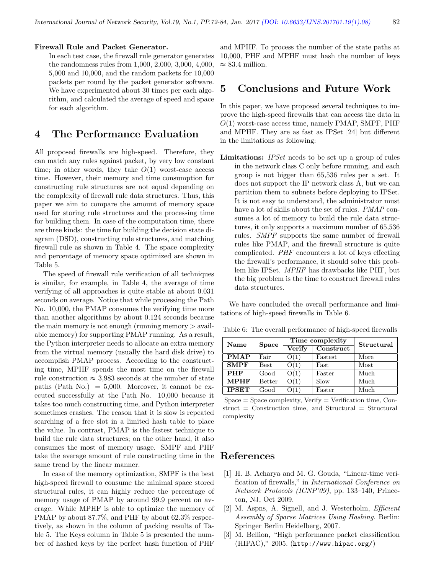#### Firewall Rule and Packet Generator.

In each test case, the firewall rule generator generates the randomness rules from 1,000, 2,000, 3,000, 4,000, 5,000 and 10,000, and the random packets for 10,000 packets per round by the packet generator software. We have experimented about 30 times per each algorithm, and calculated the average of speed and space for each algorithm.

# 4 The Performance Evaluation

All proposed firewalls are high-speed. Therefore, they can match any rules against packet, by very low constant time; in other words, they take  $O(1)$  worst-case access time. However, their memory and time consumption for constructing rule structures are not equal depending on the complexity of firewall rule data structures. Thus, this paper we aim to compare the amount of memory space used for storing rule structures and the processing time for building them. In case of the computation time, there are three kinds: the time for building the decision state diagram (DSD), constructing rule structures, and matching firewall rule as shown in Table 4. The space complexity and percentage of memory space optimized are shown in Table 5.

The speed of firewall rule verification of all techniques is similar, for example, in Table 4, the average of time verifying of all approaches is quite stable at about 0.031 seconds on average. Notice that while processing the Path No. 10,000, the PMAP consumes the verifying time more than another algorithms by about 0.124 seconds because the main memory is not enough (running memory  $\geq$  available memory) for supporting PMAP running. As a result, the Python interpreter needs to allocate an extra memory from the virtual memory (usually the hard disk drive) to accomplish PMAP process. According to the constructing time, MPHF spends the most time on the firewall rule construction  $\approx 3{,}983$  seconds at the number of state paths (Path No.) =  $5,000$ . Moreover, it cannot be executed successfully at the Path No. 10,000 because it takes too much constructing time, and Python interpreter sometimes crashes. The reason that it is slow is repeated searching of a free slot in a limited hash table to place the value. In contrast, PMAP is the fastest technique to build the rule data structures; on the other hand, it also consumes the most of memory usage. SMPF and PHF take the average amount of rule constructing time in the same trend by the linear manner.

In case of the memory optimization, SMPF is the best high-speed firewall to consume the minimal space stored structural rules, it can highly reduce the percentage of memory usage of PMAP by around 99.9 percent on average. While MPHF is able to optimize the memory of PMAP by about 87.7%, and PHF by about 62.3% respectively, as shown in the column of packing results of Table 5. The Keys column in Table 5 is presented the number of hashed keys by the perfect hash function of PHF

and MPHF. To process the number of the state paths at 10,000, PHF and MPHF must hash the number of keys  $\approx 83.4$  million.

# 5 Conclusions and Future Work

In this paper, we have proposed several techniques to improve the high-speed firewalls that can access the data in  $O(1)$  worst-case access time, namely PMAP, SMPF, PHF and MPHF. They are as fast as IPSet [24] but different in the limitations as following:

Limitations: *IPSet* needs to be set up a group of rules in the network class C only before running, and each group is not bigger than 65,536 rules per a set. It does not support the IP network class A, but we can partition them to subnets before deploying to IPSet. It is not easy to understand, the administrator must have a lot of skills about the set of rules. *PMAP* consumes a lot of memory to build the rule data structures, it only supports a maximum number of 65,536 rules. SMPF supports the same number of firewall rules like PMAP, and the firewall structure is quite complicated. PHF encounters a lot of keys effecting the firewall's performance, it should solve this problem like IPSet. MPHF has drawbacks like PHF, but the big problem is the time to construct firewall rules data structures.

We have concluded the overall performance and limitations of high-speed firewalls in Table 6.

| Name         | Space       |        | Time complexity | Structural |  |
|--------------|-------------|--------|-----------------|------------|--|
|              |             | Verify | Construct       |            |  |
| <b>PMAP</b>  | Fair        | O(1)   | Fastest         | More       |  |
| <b>SMPF</b>  | <b>Best</b> | O(1)   | Fast            | Most       |  |
| <b>PHF</b>   | Good        | O(1)   | Faster          | Much       |  |
| <b>MPHF</b>  | Better      | O(1)   | Slow            | Much       |  |
| <b>IPSET</b> | Good        | ) (1   | Faster          | Much       |  |

Table 6: The overall performance of high-speed firewalls

 $Space = Space complexity, Verify = Verification time, Con$  $struct = Construction$  time, and Structural  $= Structural$ complexity

### References

- [1] H. B. Acharya and M. G. Gouda, "Linear-time verification of firewalls," in International Conference on Network Protocols (ICNP'09), pp. 133–140, Princeton, NJ, Oct 2009.
- [2] M. Aspns, A. Signell, and J. Westerholm, *Efficient* Assembly of Sparse Matrices Using Hashing. Berlin: Springer Berlin Heidelberg, 2007.
- [3] M. Bellion, "High performance packet classification (HIPAC)," 2005. (http://www.hipac.org/)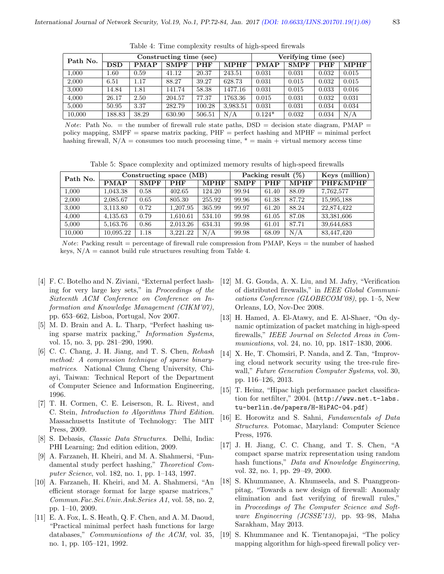| Path No. | Constructing time (sec) |             |             |            | Verifying time (sec) |             |             |            |             |
|----------|-------------------------|-------------|-------------|------------|----------------------|-------------|-------------|------------|-------------|
|          | <b>DSD</b>              | <b>PMAP</b> | <b>SMPF</b> | <b>PHF</b> | <b>MPHF</b>          | <b>PMAP</b> | <b>SMPF</b> | <b>PHF</b> | <b>MPHF</b> |
| 1,000    | 1.60                    | 0.59        | 41.12       | 20.37      | 243.51               | 0.031       | 0.031       | 0.032      | 0.015       |
| 2,000    | 6.51                    | 1.17        | 88.27       | 39.27      | 628.73               | 0.031       | 0.015       | 0.032      | 0.015       |
| 3,000    | 14.84                   | 1.81        | 141.74      | 58.38      | 1477.16              | 0.031       | 0.015       | 0.033      | 0.016       |
| 4,000    | 26.17                   | 2.50        | 204.57      | 77.37      | 1763.36              | 0.015       | 0.031       | 0.032      | 0.031       |
| 5,000    | 50.95                   | 3.37        | 282.79      | 100.28     | 3,983.51             | 0.031       | 0.031       | 0.034      | 0.034       |
| 10,000   | 188.83                  | 38.29       | 630.90      | 506.51     | N/A                  | $0.124*$    | 0.032       | 0.034      | N/A         |

Table 4: Time complexity results of high-speed firewals

Note: Path No.  $=$  the number of firewall rule state paths,  $DSD =$  decision state diagram, PMAP  $=$ policy mapping,  $\text{SMPF} = \text{sparse matrix packing}, \text{PHF} = \text{perfect hashing}$  and  $\text{MPHF} = \text{minimal perfect}$ hashing firewall,  $N/A =$  consumes too much processing time,  $* =$  main + virtual memory access time

Table 5: Space complexity and optimized memory results of high-speed firewalls

| Path No. | Constructing space (MB) |             |            | Packing result $(\%)$ |             |            | (million)<br>Kevs |                     |
|----------|-------------------------|-------------|------------|-----------------------|-------------|------------|-------------------|---------------------|
|          | <b>PMAP</b>             | <b>SMPF</b> | <b>PHF</b> | <b>MPHF</b>           | <b>SMPF</b> | <b>PHF</b> | <b>MPHF</b>       | <b>PHF&amp;MPHF</b> |
| 1,000    | 1,043.38                | 0.58        | 402.65     | 124.20                | 99.94       | 61.40      | 88.09             | 7.762,577           |
| 2,000    | 2,085.67                | 0.65        | 805.30     | 255.92                | 99.96       | 61.38      | 87.72             | 15,995,188          |
| 3,000    | 3,113.80                | 0.72        | 1.207.95   | 365.99                | 99.97       | 61.20      | 88.24             | 22,874,422          |
| 4,000    | 4,135.63                | 0.79        | 1,610.61   | 534.10                | 99.98       | 61.05      | 87.08             | 33,381,606          |
| 5,000    | 5.163.76                | 0.86        | 2.013.26   | 634.31                | 99.98       | 61.01      | 87.71             | 39,644,683          |
| 10,000   | 10,095.22               | 1.18        | 3.221.22   | N/A                   | 99.98       | 68.09      | N/A               | 83,447,420          |

*Note*: Packing result = percentage of firewall rule compression from PMAP, Keys = the number of hashed keys,  $N/A =$  cannot build rule structures resulting from Table 4.

- [4] F. C. Botelho and N. Ziviani, "External perfect hashing for very large key sets," in Proceedings of the Sixteenth ACM Conference on Conference on Information and Knowledge Management (CIKM'07), pp. 653–662, Lisboa, Portugal, Nov 2007.
- [5] M. D. Brain and A. L. Tharp, "Perfect hashing using sparse matrix packing," Information Systems, vol. 15, no. 3, pp. 281–290, 1990.
- [6] C. C. Chang, J. H. Jiang, and T. S. Chen, Rehash method: A compression technique of sparse binarymatrices. National Chung Cheng University, Chiayi, Taiwan: Technical Report of the Department of Computer Science and Information Engineering, 1996.
- [7] T. H. Cormen, C. E. Leiserson, R. L. Rivest, and C. Stein, Introduction to Algorithms Third Edition. Massachusetts Institute of Technology: The MIT Press, 2009.
- [8] S. Debasis, Classic Data Structures. Delhi, India: PHI Learning; 2nd edition edition, 2009.
- [9] A. Farzaneh, H. Kheiri, and M. A. Shahmersi, "Fundamental study perfect hashing," Theoretical Computer Science, vol. 182, no. 1, pp. 1–143, 1997.
- [10] A. Farzaneh, H. Kheiri, and M. A. Shahmersi, "An efficient storage format for large sparse matrices," Commun.Fac.Sci.Univ.Ank.Series A1, vol. 58, no. 2, pp. 1–10, 2009.
- [11] E. A. Fox, L. S. Heath, Q. F. Chen, and A. M. Daoud, "Practical minimal perfect hash functions for large databases," Communications of the ACM, vol. 35, no. 1, pp. 105–121, 1992.
- [12] M. G. Gouda, A. X. Liu, and M. Jafry, "Verification of distributed firewalls," in IEEE Global Communications Conference (GLOBECOM'08), pp. 1–5, New Orleans, LO, Nov-Dec 2008.
- [13] H. Hamed, A. El-Atawy, and E. Al-Shaer, "On dynamic optimization of packet matching in high-speed firewalls," IEEE Journal on Selected Areas in Communications, vol. 24, no. 10, pp. 1817–1830, 2006.
- [14] X. He, T. Chomsiri, P. Nanda, and Z. Tan, "Improving cloud network security using the tree-rule firewall," Future Generation Computer Systems, vol. 30, pp. 116–126, 2013.
- [15] T. Heinz, "Hipac high performance packet classification for netfilter," 2004. (http://www.net.t-labs. tu-berlin.de/papers/H-HiPAC-04.pdf)
- [16] E. Horowitz and S. Sahni, Fundamentals of Data Structures. Potomac, Maryland: Computer Science Press, 1976.
- [17] J. H. Jiang, C. C. Chang, and T. S. Chen, "A compact sparse matrix representation using random hash functions," Data and Knowledge Engineering, vol. 32, no. 1, pp. 29–49, 2000.
- [18] S. Khummanee, A. Khumseela, and S. Puangpronpitag, "Towards a new design of firewall: Anomaly elimination and fast verifying of firewall rules," in Proceedings of The Computer Science and Software Engineering (JCSSE'13), pp. 93–98, Maha Sarakham, May 2013.
- [19] S. Khummanee and K. Tientanopajai, "The policy mapping algorithm for high-speed firewall policy ver-